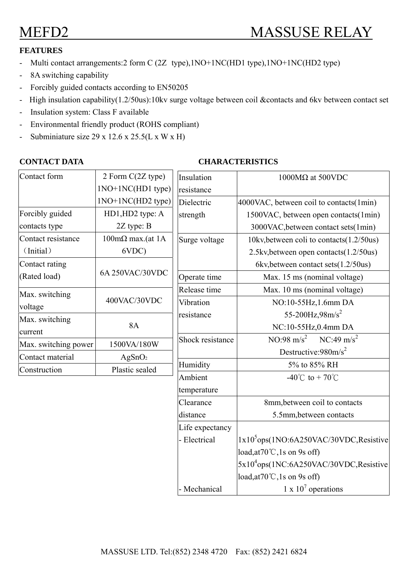# **FEATURES**

- Multi contact arrangements:2 form C (2Z type),1NO+1NC(HD1 type),1NO+1NC(HD2 type)
- 8A switching capability
- Forcibly guided contacts according to EN50205
- High insulation capability(1.2/50us):10kv surge voltage between coil &contacts and 6kv between contact set
- Insulation system: Class F available
- Environmental friendly product (ROHS compliant)
- Subminiature size  $29 \times 12.6 \times 25.5(L \times W \times H)$

### **CONTACT DATA** CHARACTERISTICS

| Contact form         | 2 Form C(2Z type)               |                  |                                                    |  |  |
|----------------------|---------------------------------|------------------|----------------------------------------------------|--|--|
|                      |                                 | Insulation       | 1000 $M\Omega$ at 500VDC                           |  |  |
|                      | 1NO+1NC(HD1 type)               | resistance       |                                                    |  |  |
|                      | 1NO+1NC(HD2 type)               | Dielectric       | 4000VAC, between coil to contacts(1min)            |  |  |
| Forcibly guided      | HD1, HD2 type: A                | strength         | 1500VAC, between open contacts(1min)               |  |  |
| contacts type        | $2Z$ type: B                    |                  | 3000VAC, between contact sets (1min)               |  |  |
| Contact resistance   | $100 \text{m}\Omega$ max.(at 1A | Surge voltage    | 10kv, between coli to contacts (1.2/50us)          |  |  |
| (Initial)            | 6VDC)                           |                  | 2.5kv, between open contacts (1.2/50us)            |  |  |
| Contact rating       | 6A 250VAC/30VDC                 |                  | 6kv, between contact sets (1.2/50us)               |  |  |
| (Rated load)         |                                 | Operate time     | Max. 15 ms (nominal voltage)                       |  |  |
| Max. switching       | 400VAC/30VDC                    | Release time     | Max. 10 ms (nominal voltage)                       |  |  |
| voltage              |                                 | Vibration        | NO:10-55Hz, 1.6mm DA                               |  |  |
| Max. switching       | <b>8A</b>                       | resistance       | 55-200Hz, $98m/s^2$                                |  |  |
| current              |                                 |                  | NC:10-55Hz,0.4mm DA                                |  |  |
| Max. switching power | 1500VA/180W                     | Shock resistance | $NO:98 \text{ m/s}^2$<br>$NC:49 \text{ m/s}^2$     |  |  |
| Contact material     | AgSnO <sub>2</sub>              |                  | Destructive: $980 \text{m/s}^2$                    |  |  |
| Construction         | Plastic sealed                  | Humidity         | 5% to 85% RH                                       |  |  |
|                      |                                 | Ambient          | $-40^{\circ}$ C to +70 $^{\circ}$ C                |  |  |
|                      |                                 | temperature      |                                                    |  |  |
|                      |                                 | Clearance        | 8mm, between coil to contacts                      |  |  |
|                      |                                 | distance         | 5.5mm, between contacts                            |  |  |
|                      |                                 | Life expectancy  |                                                    |  |  |
|                      |                                 | - Electrical     | $1x105ops(1NO:6A250VAC/30VDC,Resistive$            |  |  |
|                      |                                 |                  | load, at $70^{\circ}$ C, 1s on 9s off)             |  |  |
|                      |                                 |                  | 5x10 <sup>4</sup> ops(1NC:6A250VAC/30VDC,Resistive |  |  |
|                      |                                 |                  | load, at $70^{\circ}$ C, 1s on 9s off)             |  |  |
|                      |                                 | - Mechanical     | 1 x $10^7$ operations                              |  |  |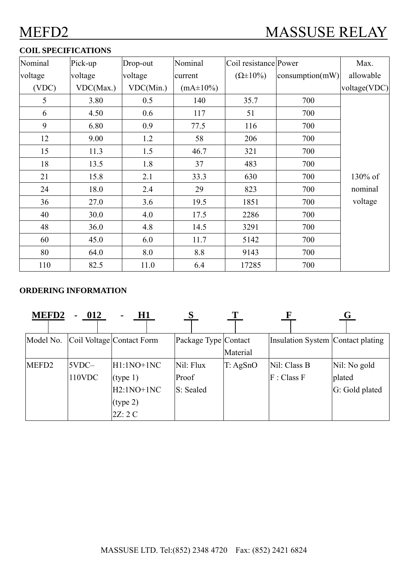## **COIL SPECIFICATIONS**

| Nominal | Pick-up   | Drop-out  | Nominal         | Coil resistance Power |                          | Max.         |
|---------|-----------|-----------|-----------------|-----------------------|--------------------------|--------------|
| voltage | voltage   | voltage   | current         | $(\Omega \pm 10\%)$   | $\text{consumption}(mW)$ | allowable    |
| (VDC)   | VDC(Max.) | VDC(Min.) | $(mA \pm 10\%)$ |                       |                          | voltage(VDC) |
| 5       | 3.80      | 0.5       | 140             | 35.7                  | 700                      |              |
| 6       | 4.50      | 0.6       | 117             | 51                    | 700                      |              |
| 9       | 6.80      | 0.9       | 77.5            | 116                   | 700                      |              |
| 12      | 9.00      | 1.2       | 58              | 206                   | 700                      |              |
| 15      | 11.3      | 1.5       | 46.7            | 321                   | 700                      |              |
| 18      | 13.5      | 1.8       | 37              | 483                   | 700                      |              |
| 21      | 15.8      | 2.1       | 33.3            | 630                   | 700                      | 130% of      |
| 24      | 18.0      | 2.4       | 29              | 823                   | 700                      | nominal      |
| 36      | 27.0      | 3.6       | 19.5            | 1851                  | 700                      | voltage      |
| 40      | 30.0      | 4.0       | 17.5            | 2286                  | 700                      |              |
| 48      | 36.0      | 4.8       | 14.5            | 3291                  | 700                      |              |
| 60      | 45.0      | 6.0       | 11.7            | 5142                  | 700                      |              |
| 80      | 64.0      | 8.0       | 8.8             | 9143                  | 700                      |              |
| 110     | 82.5      | 11.0      | 6.4             | 17285                 | 700                      |              |

### **ORDERING INFORMATION**

| <b>MEFD2</b>      | 012<br>۰. | H1<br>$\blacksquare$      |                      |          |                                   | Ġ              |
|-------------------|-----------|---------------------------|----------------------|----------|-----------------------------------|----------------|
| Model No.         |           | Coil Voltage Contact Form | Package Type Contact |          | Insulation System Contact plating |                |
|                   |           |                           |                      | Material |                                   |                |
| MEFD <sub>2</sub> | $5VDC-$   | $H1:1NO+1NC$              | Nil: Flux            | T: AgSnO | Nil: Class B                      | Nil: No gold   |
|                   | 110VDC    | (type 1)                  | Proof                |          | F: Class F                        | plated         |
|                   |           | $H2:1NO+1NC$              | S: Sealed            |          |                                   | G: Gold plated |
|                   |           | (type 2)                  |                      |          |                                   |                |
|                   |           | 2Z:2C                     |                      |          |                                   |                |